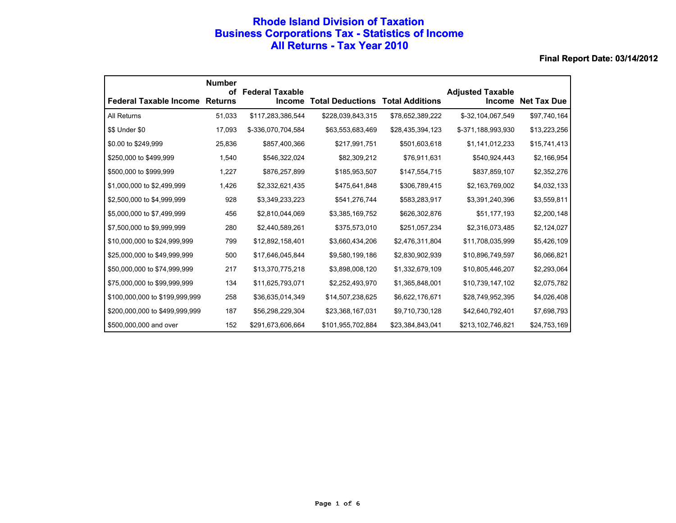## **Rhode Island Division of Taxation Business Corporations Tax - Statistics of Income All Returns - Tax Year 2010**

|                                       | <b>Number</b><br>οf | <b>Federal Taxable</b> |                         |                        | <b>Adjusted Taxable</b> |                    |
|---------------------------------------|---------------------|------------------------|-------------------------|------------------------|-------------------------|--------------------|
| <b>Federal Taxable Income Returns</b> |                     | <b>Income</b>          | <b>Total Deductions</b> | <b>Total Additions</b> | Income                  | <b>Net Tax Due</b> |
| All Returns                           | 51,033              | \$117,283,386,544      | \$228,039,843,315       | \$78,652,389,222       | \$-32,104,067,549       | \$97,740,164       |
| \$\$ Under \$0                        | 17,093              | \$-336,070,704,584     | \$63,553,683,469        | \$28,435,394,123       | \$-371,188,993,930      | \$13,223,256       |
| \$0.00 to \$249,999                   | 25,836              | \$857,400,366          | \$217,991,751           | \$501,603,618          | \$1,141,012,233         | \$15,741,413       |
| \$250,000 to \$499,999                | 1,540               | \$546,322,024          | \$82,309,212            | \$76,911,631           | \$540,924,443           | \$2,166,954        |
| \$500,000 to \$999,999                | 1,227               | \$876,257,899          | \$185,953,507           | \$147,554,715          | \$837,859,107           | \$2,352,276        |
| \$1,000,000 to \$2,499,999            | 1,426               | \$2,332,621,435        | \$475,641,848           | \$306,789,415          | \$2,163,769,002         | \$4,032,133        |
| \$2,500,000 to \$4,999,999            | 928                 | \$3,349,233,223        | \$541,276,744           | \$583,283,917          | \$3,391,240,396         | \$3,559,811        |
| \$5,000,000 to \$7,499,999            | 456                 | \$2,810,044,069        | \$3,385,169,752         | \$626,302,876          | \$51,177,193            | \$2,200,148        |
| \$7,500,000 to \$9,999,999            | 280                 | \$2,440,589,261        | \$375,573,010           | \$251,057,234          | \$2,316,073,485         | \$2,124,027        |
| \$10,000,000 to \$24,999,999          | 799                 | \$12,892,158,401       | \$3,660,434,206         | \$2,476,311,804        | \$11,708,035,999        | \$5,426,109        |
| \$25,000,000 to \$49,999,999          | 500                 | \$17,646,045,844       | \$9,580,199,186         | \$2,830,902,939        | \$10,896,749,597        | \$6,066,821        |
| \$50,000,000 to \$74,999,999          | 217                 | \$13,370,775,218       | \$3,898,008,120         | \$1,332,679,109        | \$10,805,446,207        | \$2,293,064        |
| \$75,000,000 to \$99,999,999          | 134                 | \$11,625,793,071       | \$2,252,493,970         | \$1,365,848,001        | \$10,739,147,102        | \$2,075,782        |
| \$100,000,000 to \$199,999,999        | 258                 | \$36,635,014,349       | \$14,507,238,625        | \$6,622,176,671        | \$28,749,952,395        | \$4,026,408        |
| \$200,000,000 to \$499,999,999        | 187                 | \$56,298,229,304       | \$23,368,167,031        | \$9,710,730,128        | \$42,640,792,401        | \$7,698,793        |
| \$500,000,000 and over                | 152                 | \$291,673,606,664      | \$101,955,702,884       | \$23,384,843,041       | \$213,102,746,821       | \$24,753,169       |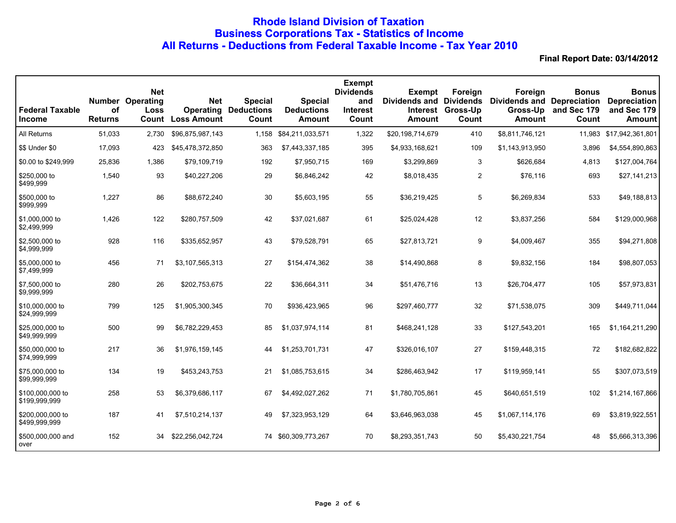# **Rhode Island Division of Taxation Business Corporations Tax - Statistics of Income All Returns - Deductions from Federal Taxable Income - Tax Year 2010**

| <b>Federal Taxable</b><br><b>Income</b> | <b>Number</b><br>οf<br><b>Returns</b> | <b>Net</b><br>Operating<br>Loss<br>Count | <b>Net</b><br><b>Operating</b><br><b>Loss Amount</b> | <b>Special</b><br><b>Deductions</b><br>Count | <b>Special</b><br><b>Deductions</b><br>Amount | <b>Exempt</b><br><b>Dividends</b><br>and<br><b>Interest</b><br>Count | <b>Exempt</b><br><b>Dividends and Dividends</b><br><b>Interest</b><br><b>Amount</b> | Foreign<br>Gross-Up<br>Count | Foreign<br><b>Dividends and Depreciation</b><br>Gross-Up<br><b>Amount</b> | <b>Bonus</b><br>and Sec 179<br>Count | <b>Bonus</b><br><b>Depreciation</b><br>and Sec 179<br><b>Amount</b> |
|-----------------------------------------|---------------------------------------|------------------------------------------|------------------------------------------------------|----------------------------------------------|-----------------------------------------------|----------------------------------------------------------------------|-------------------------------------------------------------------------------------|------------------------------|---------------------------------------------------------------------------|--------------------------------------|---------------------------------------------------------------------|
| All Returns                             | 51,033                                | 2,730                                    | \$96,875,987,143                                     | 1,158                                        | \$84,211,033,571                              | 1,322                                                                | \$20,198,714,679                                                                    | 410                          | \$8,811,746,121                                                           | 11,983                               | \$17,942,361,801                                                    |
| \$\$ Under \$0                          | 17,093                                | 423                                      | \$45,478,372,850                                     | 363                                          | \$7,443,337,185                               | 395                                                                  | \$4,933,168,621                                                                     | 109                          | \$1,143,913,950                                                           | 3,896                                | \$4,554,890,863                                                     |
| \$0.00 to \$249,999                     | 25,836                                | 1,386                                    | \$79,109,719                                         | 192                                          | \$7,950,715                                   | 169                                                                  | \$3,299,869                                                                         | 3                            | \$626,684                                                                 | 4,813                                | \$127,004,764                                                       |
| \$250,000 to<br>\$499,999               | 1,540                                 | 93                                       | \$40,227,206                                         | 29                                           | \$6,846,242                                   | 42                                                                   | \$8,018,435                                                                         | $\overline{2}$               | \$76,116                                                                  | 693                                  | \$27,141,213                                                        |
| \$500,000 to<br>\$999,999               | 1,227                                 | 86                                       | \$88,672,240                                         | 30                                           | \$5,603,195                                   | 55                                                                   | \$36,219,425                                                                        | 5                            | \$6,269,834                                                               | 533                                  | \$49,188,813                                                        |
| \$1,000,000 to<br>\$2,499,999           | 1,426                                 | 122                                      | \$280,757,509                                        | 42                                           | \$37,021,687                                  | 61                                                                   | \$25,024,428                                                                        | 12                           | \$3,837,256                                                               | 584                                  | \$129,000,968                                                       |
| \$2,500,000 to<br>\$4,999,999           | 928                                   | 116                                      | \$335,652,957                                        | 43                                           | \$79,528,791                                  | 65                                                                   | \$27,813,721                                                                        | 9                            | \$4,009,467                                                               | 355                                  | \$94,271,808                                                        |
| \$5,000,000 to<br>\$7,499,999           | 456                                   | 71                                       | \$3,107,565,313                                      | 27                                           | \$154,474,362                                 | 38                                                                   | \$14,490,868                                                                        | 8                            | \$9,832,156                                                               | 184                                  | \$98,807,053                                                        |
| \$7,500,000 to<br>\$9,999,999           | 280                                   | 26                                       | \$202,753,675                                        | 22                                           | \$36,664,311                                  | 34                                                                   | \$51,476,716                                                                        | 13                           | \$26,704,477                                                              | 105                                  | \$57,973,831                                                        |
| \$10,000,000 to<br>\$24,999,999         | 799                                   | 125                                      | \$1,905,300,345                                      | 70                                           | \$936,423,965                                 | 96                                                                   | \$297,460,777                                                                       | 32                           | \$71,538,075                                                              | 309                                  | \$449,711,044                                                       |
| \$25,000,000 to<br>\$49,999,999         | 500                                   | 99                                       | \$6,782,229,453                                      | 85                                           | \$1,037,974,114                               | 81                                                                   | \$468,241,128                                                                       | 33                           | \$127,543,201                                                             | 165                                  | \$1,164,211,290                                                     |
| \$50,000,000 to<br>\$74,999,999         | 217                                   | 36                                       | \$1,976,159,145                                      | 44                                           | \$1,253,701,731                               | 47                                                                   | \$326,016,107                                                                       | 27                           | \$159,448,315                                                             | 72                                   | \$182,682,822                                                       |
| \$75,000,000 to<br>\$99,999,999         | 134                                   | 19                                       | \$453,243,753                                        | 21                                           | \$1,085,753,615                               | 34                                                                   | \$286,463,942                                                                       | 17                           | \$119,959,141                                                             | 55                                   | \$307,073,519                                                       |
| \$100,000,000 to<br>\$199,999,999       | 258                                   | 53                                       | \$6,379,686,117                                      | 67                                           | \$4,492,027,262                               | 71                                                                   | \$1,780,705,861                                                                     | 45                           | \$640,651,519                                                             | 102                                  | \$1,214,167,866                                                     |
| \$200,000,000 to<br>\$499,999,999       | 187                                   | 41                                       | \$7,510,214,137                                      | 49                                           | \$7,323,953,129                               | 64                                                                   | \$3,646,963,038                                                                     | 45                           | \$1,067,114,176                                                           | 69                                   | \$3,819,922,551                                                     |
| \$500,000,000 and<br>over               | 152                                   | 34                                       | \$22,256,042,724                                     | 74                                           | \$60,309,773,267                              | 70                                                                   | \$8,293,351,743                                                                     | 50                           | \$5,430,221,754                                                           | 48                                   | \$5,666,313,396                                                     |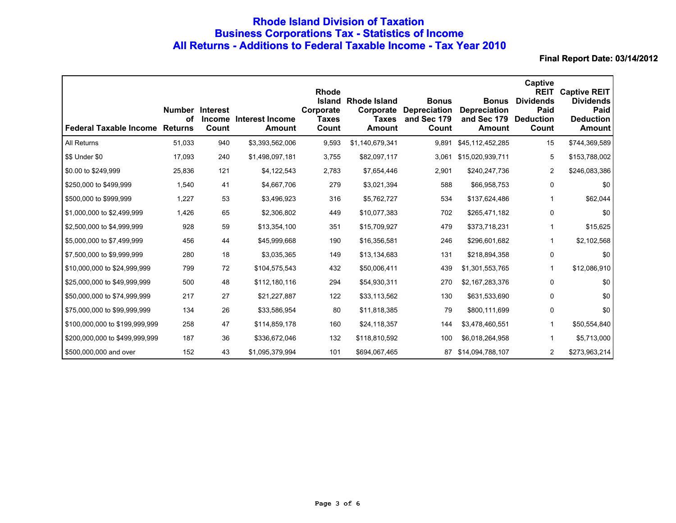# **Rhode Island Division of Taxation Business Corporations Tax - Statistics of Income All Returns - Additions to Federal Taxable Income - Tax Year 2010**

| <b>Federal Taxable Income Returns</b> | οf     | <b>Number Interest</b><br><b>Income</b><br>Count | Interest Income<br>Amount | <b>Rhode</b><br><b>Island</b><br>Corporate<br><b>Taxes</b><br>Count | Rhode Island<br><b>Taxes</b><br>Amount | <b>Bonus</b><br><b>Corporate Depreciation</b><br>and Sec 179<br>Count | <b>Bonus</b><br><b>Depreciation</b><br>and Sec 179<br><b>Amount</b> | Captive<br><b>REIT</b><br><b>Dividends</b><br>Paid<br><b>Deduction</b><br>Count | <b>Captive REIT</b><br><b>Dividends</b><br>Paid<br><b>Deduction</b><br><b>Amount</b> |
|---------------------------------------|--------|--------------------------------------------------|---------------------------|---------------------------------------------------------------------|----------------------------------------|-----------------------------------------------------------------------|---------------------------------------------------------------------|---------------------------------------------------------------------------------|--------------------------------------------------------------------------------------|
| All Returns                           | 51,033 | 940                                              | \$3,393,562,006           | 9,593                                                               | \$1,140,679,341                        | 9,891                                                                 | \$45,112,452,285                                                    | 15                                                                              | \$744,369,589                                                                        |
| \$\$ Under \$0                        | 17,093 | 240                                              | \$1,498,097,181           | 3,755                                                               | \$82,097,117                           | 3,061                                                                 | \$15,020,939,711                                                    | 5                                                                               | \$153,788,002                                                                        |
| \$0.00 to \$249,999                   | 25,836 | 121                                              | \$4,122,543               | 2,783                                                               | \$7,654,446                            | 2,901                                                                 | \$240,247,736                                                       | 2                                                                               | \$246,083,386                                                                        |
| \$250,000 to \$499,999                | 1,540  | 41                                               | \$4,667,706               | 279                                                                 | \$3,021,394                            | 588                                                                   | \$66,958,753                                                        | 0                                                                               | \$0                                                                                  |
| \$500,000 to \$999,999                | 1,227  | 53                                               | \$3,496,923               | 316                                                                 | \$5,762,727                            | 534                                                                   | \$137,624,486                                                       |                                                                                 | \$62,044                                                                             |
| \$1,000,000 to \$2,499,999            | 1,426  | 65                                               | \$2,306,802               | 449                                                                 | \$10,077,383                           | 702                                                                   | \$265,471,182                                                       | 0                                                                               | \$0                                                                                  |
| \$2,500,000 to \$4,999,999            | 928    | 59                                               | \$13,354,100              | 351                                                                 | \$15,709,927                           | 479                                                                   | \$373,718,231                                                       |                                                                                 | \$15,625                                                                             |
| \$5,000,000 to \$7,499,999            | 456    | 44                                               | \$45,999,668              | 190                                                                 | \$16,356,581                           | 246                                                                   | \$296,601,682                                                       | 1                                                                               | \$2,102,568                                                                          |
| \$7,500,000 to \$9,999,999            | 280    | 18                                               | \$3,035,365               | 149                                                                 | \$13,134,683                           | 131                                                                   | \$218,894,358                                                       | 0                                                                               | \$0                                                                                  |
| \$10,000,000 to \$24,999,999          | 799    | 72                                               | \$104,575,543             | 432                                                                 | \$50,006,411                           | 439                                                                   | \$1,301,553,765                                                     |                                                                                 | \$12,086,910                                                                         |
| \$25,000,000 to \$49,999,999          | 500    | 48                                               | \$112,180,116             | 294                                                                 | \$54,930,311                           | 270                                                                   | \$2,167,283,376                                                     | 0                                                                               | \$0                                                                                  |
| \$50,000,000 to \$74,999,999          | 217    | 27                                               | \$21,227,887              | 122                                                                 | \$33,113,562                           | 130                                                                   | \$631,533,690                                                       | 0                                                                               | \$0                                                                                  |
| \$75,000,000 to \$99,999,999          | 134    | 26                                               | \$33,586,954              | 80                                                                  | \$11,818,385                           | 79                                                                    | \$800,111,699                                                       | 0                                                                               | \$0                                                                                  |
| \$100,000,000 to \$199,999,999        | 258    | 47                                               | \$114,859,178             | 160                                                                 | \$24,118,357                           | 144                                                                   | \$3,478,460,551                                                     | 1                                                                               | \$50,554,840                                                                         |
| \$200,000,000 to \$499,999,999        | 187    | 36                                               | \$336,672,046             | 132                                                                 | \$118,810,592                          | 100                                                                   | \$6,018,264,958                                                     |                                                                                 | \$5,713,000                                                                          |
| \$500,000,000 and over                | 152    | 43                                               | \$1,095,379,994           | 101                                                                 | \$694,067,465                          | 87                                                                    | \$14,094,788,107                                                    | 2                                                                               | \$273,963,214                                                                        |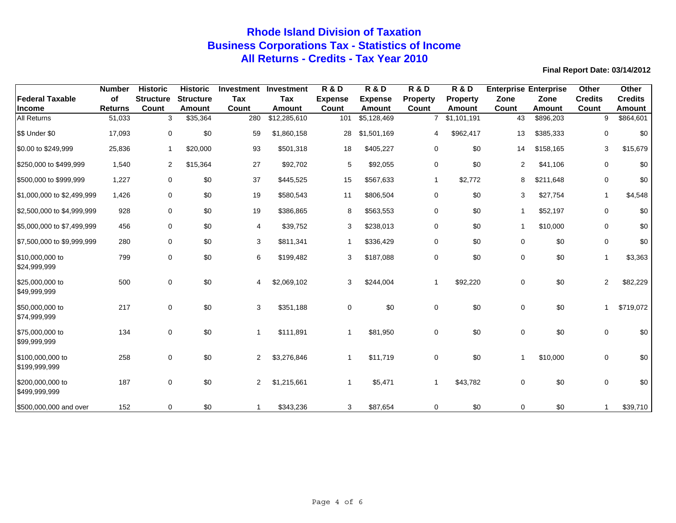# **Rhode Island Division of Taxation Business Corporations Tax - Statistics of Income All Returns - Credits - Tax Year 2010**

|                                   | <b>Number</b>  | <b>Historic</b>  | <b>Historic</b>  | <b>Investment</b> | <b>Investment</b> | <b>R &amp; D</b> | <b>R&amp;D</b> | <b>R&amp;D</b>  | <b>R &amp; D</b> | <b>Enterprise Enterprise</b> |               | Other          | <b>Other</b>   |
|-----------------------------------|----------------|------------------|------------------|-------------------|-------------------|------------------|----------------|-----------------|------------------|------------------------------|---------------|----------------|----------------|
| <b>Federal Taxable</b>            | of             | <b>Structure</b> | <b>Structure</b> | Tax               | Tax               | <b>Expense</b>   | <b>Expense</b> | <b>Property</b> | Property         | Zone                         | Zone          | <b>Credits</b> | <b>Credits</b> |
| <b>Income</b>                     | <b>Returns</b> | Count            | <b>Amount</b>    | Count             | <b>Amount</b>     | Count            | Amount         | Count           | <b>Amount</b>    | Count                        | <b>Amount</b> | Count          | Amount         |
| <b>All Returns</b>                | 51,033         | 3                | \$35,364         | 280               | \$12,285,610      | 101              | \$5,128,469    | $\overline{7}$  | \$1,101,191      | 43                           | \$896,203     | 9              | \$864,601      |
| \$\$ Under \$0                    | 17,093         | 0                | \$0              | 59                | \$1,860,158       | 28               | \$1,501,169    | 4               | \$962,417        | 13                           | \$385,333     | $\mathbf 0$    | \$0            |
| \$0.00 to \$249,999               | 25,836         | $\mathbf{1}$     | \$20,000         | 93                | \$501,318         | 18               | \$405,227      | $\mathbf 0$     | \$0              | 14                           | \$158,165     | 3              | \$15,679       |
| \$250,000 to \$499,999            | 1,540          | $\overline{2}$   | \$15,364         | 27                | \$92,702          | 5                | \$92,055       | 0               | \$0              | $\overline{2}$               | \$41,106      | $\mathbf 0$    | \$0            |
| \$500,000 to \$999,999            | 1,227          | 0                | \$0              | 37                | \$445,525         | 15               | \$567,633      | $\mathbf 1$     | \$2,772          | 8                            | \$211,648     | 0              | \$0            |
| \$1,000,000 to \$2,499,999        | 1,426          | 0                | \$0              | 19                | \$580,543         | 11               | \$806,504      | $\mathbf 0$     | \$0              | 3                            | \$27,754      | $\overline{1}$ | \$4,548        |
| \$2,500,000 to \$4,999,999        | 928            | 0                | \$0              | 19                | \$386,865         | 8                | \$563,553      | 0               | \$0              | $\mathbf{1}$                 | \$52,197      | $\mathbf 0$    | \$0            |
| \$5,000,000 to \$7,499,999        | 456            | 0                | \$0              | 4                 | \$39,752          | 3                | \$238,013      | 0               | \$0              | $\mathbf 1$                  | \$10,000      | 0              | \$0            |
| \$7,500,000 to \$9,999,999        | 280            | 0                | \$0              | 3                 | \$811,341         | 1                | \$336,429      | 0               | \$0              | $\mathbf 0$                  | \$0           | $\mathbf 0$    | \$0            |
| \$10,000,000 to<br>\$24,999,999   | 799            | 0                | \$0              | 6                 | \$199,482         | 3                | \$187,088      | 0               | \$0              | $\mathbf 0$                  | \$0           | $\overline{1}$ | \$3,363        |
| \$25,000,000 to<br>\$49,999,999   | 500            | 0                | \$0              | 4                 | \$2,069,102       | 3                | \$244,004      | -1              | \$92,220         | 0                            | \$0           | 2              | \$82,229       |
| \$50,000,000 to<br>\$74,999,999   | 217            | 0                | \$0              | 3                 | \$351,188         | 0                | \$0            | $\mathbf 0$     | \$0              | 0                            | \$0           |                | \$719,072      |
| \$75,000,000 to<br>\$99,999,999   | 134            | 0                | \$0              | -1                | \$111,891         | 1                | \$81,950       | $\mathbf 0$     | \$0              | 0                            | \$0           | $\mathbf 0$    | \$0            |
| \$100,000,000 to<br>\$199,999,999 | 258            | 0                | \$0              | 2                 | \$3,276,846       | 1                | \$11,719       | $\mathbf 0$     | \$0              | -1                           | \$10,000      | $\mathbf 0$    | \$0            |
| \$200,000,000 to<br>\$499,999,999 | 187            | 0                | \$0              | 2                 | \$1,215,661       | 1                | \$5,471        |                 | \$43,782         | $\mathbf 0$                  | \$0           | $\mathbf 0$    | \$0            |
| \$500,000,000 and over            | 152            | $\mathbf 0$      | \$0              |                   | \$343,236         | 3                | \$87,654       | $\mathbf 0$     | \$0              | $\Omega$                     | \$0           |                | \$39,710       |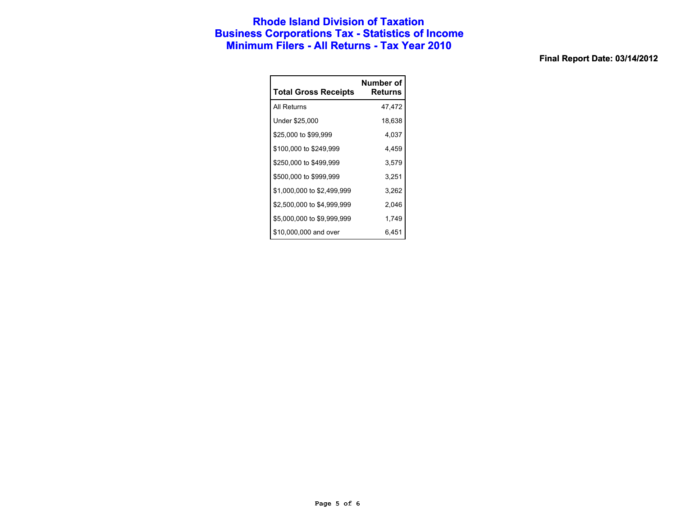### **Rhode Island Division of Taxation Business Corporations Tax - Statistics of Income Minimum Filers - All Returns - Tax Year 2010**

| <b>Total Gross Receipts</b> | Number of<br>Returns |
|-----------------------------|----------------------|
| All Returns                 | 47,472               |
| Under \$25,000              | 18,638               |
| \$25,000 to \$99,999        | 4,037                |
| \$100,000 to \$249,999      | 4,459                |
| \$250,000 to \$499,999      | 3,579                |
| \$500,000 to \$999,999      | 3.251                |
| \$1,000,000 to \$2,499,999  | 3,262                |
| \$2,500,000 to \$4,999,999  | 2,046                |
| \$5,000,000 to \$9,999,999  | 1,749                |
| \$10,000,000 and over       | 6.451                |